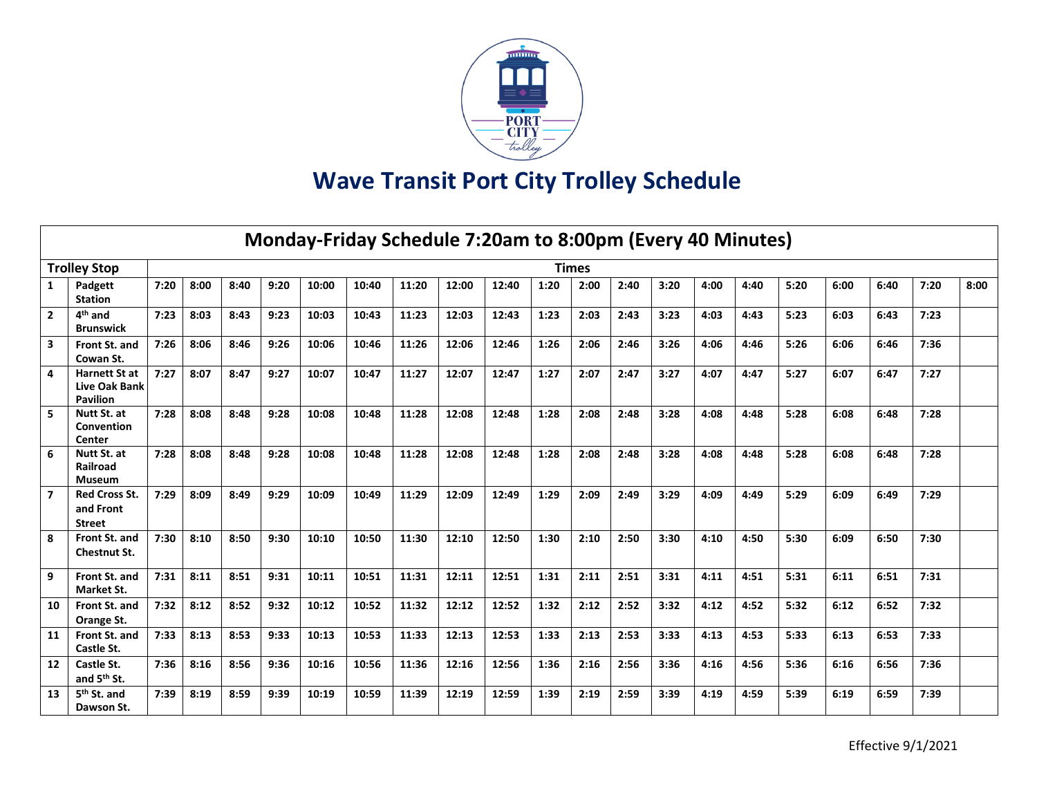

## **Wave Transit Port City Trolley Schedule**

| Monday-Friday Schedule 7:20am to 8:00pm (Every 40 Minutes) |                                                                 |      |      |      |      |       |       |       |       |       |      |              |      |      |      |      |      |      |      |      |      |
|------------------------------------------------------------|-----------------------------------------------------------------|------|------|------|------|-------|-------|-------|-------|-------|------|--------------|------|------|------|------|------|------|------|------|------|
|                                                            | <b>Trolley Stop</b>                                             |      |      |      |      |       |       |       |       |       |      | <b>Times</b> |      |      |      |      |      |      |      |      |      |
| 1                                                          | Padgett<br><b>Station</b>                                       | 7:20 | 8:00 | 8:40 | 9:20 | 10:00 | 10:40 | 11:20 | 12:00 | 12:40 | 1:20 | 2:00         | 2:40 | 3:20 | 4:00 | 4:40 | 5:20 | 6:00 | 6:40 | 7:20 | 8:00 |
| $\overline{2}$                                             | $4th$ and<br><b>Brunswick</b>                                   | 7:23 | 8:03 | 8:43 | 9:23 | 10:03 | 10:43 | 11:23 | 12:03 | 12:43 | 1:23 | 2:03         | 2:43 | 3:23 | 4:03 | 4:43 | 5:23 | 6:03 | 6:43 | 7:23 |      |
| 3                                                          | Front St. and<br>Cowan St.                                      | 7:26 | 8:06 | 8:46 | 9:26 | 10:06 | 10:46 | 11:26 | 12:06 | 12:46 | 1:26 | 2:06         | 2:46 | 3:26 | 4:06 | 4:46 | 5:26 | 6:06 | 6:46 | 7:36 |      |
| 4                                                          | <b>Harnett St at</b><br><b>Live Oak Bank</b><br><b>Pavilion</b> | 7:27 | 8:07 | 8:47 | 9:27 | 10:07 | 10:47 | 11:27 | 12:07 | 12:47 | 1:27 | 2:07         | 2:47 | 3:27 | 4:07 | 4:47 | 5:27 | 6:07 | 6:47 | 7:27 |      |
| 5                                                          | Nutt St. at<br>Convention<br>Center                             | 7:28 | 8:08 | 8:48 | 9:28 | 10:08 | 10:48 | 11:28 | 12:08 | 12:48 | 1:28 | 2:08         | 2:48 | 3:28 | 4:08 | 4:48 | 5:28 | 6:08 | 6:48 | 7:28 |      |
| 6                                                          | Nutt St. at<br>Railroad<br><b>Museum</b>                        | 7:28 | 8:08 | 8:48 | 9:28 | 10:08 | 10:48 | 11:28 | 12:08 | 12:48 | 1:28 | 2:08         | 2:48 | 3:28 | 4:08 | 4:48 | 5:28 | 6:08 | 6:48 | 7:28 |      |
| $\overline{7}$                                             | <b>Red Cross St.</b><br>and Front<br><b>Street</b>              | 7:29 | 8:09 | 8:49 | 9:29 | 10:09 | 10:49 | 11:29 | 12:09 | 12:49 | 1:29 | 2:09         | 2:49 | 3:29 | 4:09 | 4:49 | 5:29 | 6:09 | 6:49 | 7:29 |      |
| 8                                                          | Front St. and<br>Chestnut St.                                   | 7:30 | 8:10 | 8:50 | 9:30 | 10:10 | 10:50 | 11:30 | 12:10 | 12:50 | 1:30 | 2:10         | 2:50 | 3:30 | 4:10 | 4:50 | 5:30 | 6:09 | 6:50 | 7:30 |      |
| 9                                                          | Front St. and<br>Market St.                                     | 7:31 | 8:11 | 8:51 | 9:31 | 10:11 | 10:51 | 11:31 | 12:11 | 12:51 | 1:31 | 2:11         | 2:51 | 3:31 | 4:11 | 4:51 | 5:31 | 6:11 | 6:51 | 7:31 |      |
| 10                                                         | Front St. and<br>Orange St.                                     | 7:32 | 8:12 | 8:52 | 9:32 | 10:12 | 10:52 | 11:32 | 12:12 | 12:52 | 1:32 | 2:12         | 2:52 | 3:32 | 4:12 | 4:52 | 5:32 | 6:12 | 6:52 | 7:32 |      |
| 11                                                         | Front St. and<br>Castle St.                                     | 7:33 | 8:13 | 8:53 | 9:33 | 10:13 | 10:53 | 11:33 | 12:13 | 12:53 | 1:33 | 2:13         | 2:53 | 3:33 | 4:13 | 4:53 | 5:33 | 6:13 | 6:53 | 7:33 |      |
| 12                                                         | Castle St.<br>and 5 <sup>th</sup> St.                           | 7:36 | 8:16 | 8:56 | 9:36 | 10:16 | 10:56 | 11:36 | 12:16 | 12:56 | 1:36 | 2:16         | 2:56 | 3:36 | 4:16 | 4:56 | 5:36 | 6:16 | 6:56 | 7:36 |      |
| 13                                                         | 5 <sup>th</sup> St. and<br>Dawson St.                           | 7:39 | 8:19 | 8:59 | 9:39 | 10:19 | 10:59 | 11:39 | 12:19 | 12:59 | 1:39 | 2:19         | 2:59 | 3:39 | 4:19 | 4:59 | 5:39 | 6:19 | 6:59 | 7:39 |      |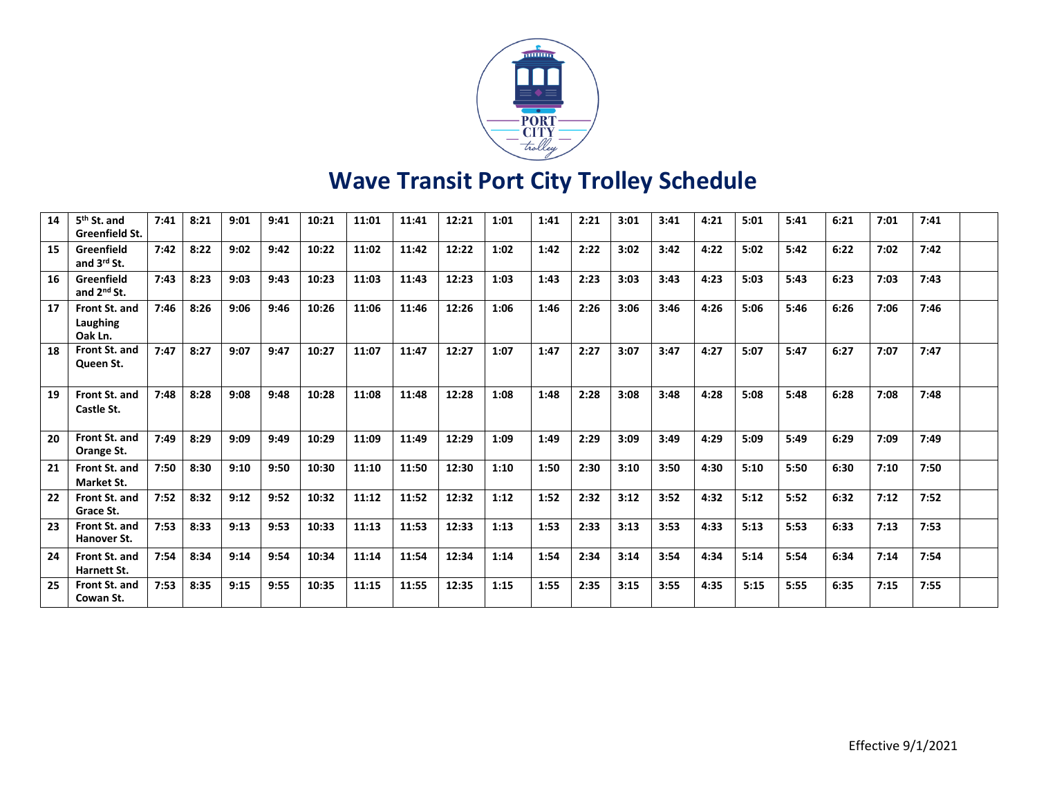

## **Wave Transit Port City Trolley Schedule**

| 14 | 5 <sup>th</sup> St. and<br>Greenfield St. | 7:41 | 8:21 | 9:01 | 9:41 | 10:21 | 11:01 | 11:41 | 12:21 | 1:01 | 1:41 | 2:21 | 3:01 | 3:41 | 4:21 | 5:01 | 5:41 | 6:21 | 7:01 | 7:41 |  |
|----|-------------------------------------------|------|------|------|------|-------|-------|-------|-------|------|------|------|------|------|------|------|------|------|------|------|--|
| 15 | Greenfield<br>and 3rd St.                 | 7:42 | 8:22 | 9:02 | 9:42 | 10:22 | 11:02 | 11:42 | 12:22 | 1:02 | 1:42 | 2:22 | 3:02 | 3:42 | 4:22 | 5:02 | 5:42 | 6:22 | 7:02 | 7:42 |  |
| 16 | Greenfield<br>and 2 <sup>nd</sup> St.     | 7:43 | 8:23 | 9:03 | 9:43 | 10:23 | 11:03 | 11:43 | 12:23 | 1:03 | 1:43 | 2:23 | 3:03 | 3:43 | 4:23 | 5:03 | 5:43 | 6:23 | 7:03 | 7:43 |  |
| 17 | Front St. and<br>Laughing<br>Oak Ln.      | 7:46 | 8:26 | 9:06 | 9:46 | 10:26 | 11:06 | 11:46 | 12:26 | 1:06 | 1:46 | 2:26 | 3:06 | 3:46 | 4:26 | 5:06 | 5:46 | 6:26 | 7:06 | 7:46 |  |
| 18 | Front St. and<br>Queen St.                | 7:47 | 8:27 | 9:07 | 9:47 | 10:27 | 11:07 | 11:47 | 12:27 | 1:07 | 1:47 | 2:27 | 3:07 | 3:47 | 4:27 | 5:07 | 5:47 | 6:27 | 7:07 | 7:47 |  |
| 19 | Front St. and<br>Castle St.               | 7:48 | 8:28 | 9:08 | 9:48 | 10:28 | 11:08 | 11:48 | 12:28 | 1:08 | 1:48 | 2:28 | 3:08 | 3:48 | 4:28 | 5:08 | 5:48 | 6:28 | 7:08 | 7:48 |  |
| 20 | Front St. and<br>Orange St.               | 7:49 | 8:29 | 9:09 | 9:49 | 10:29 | 11:09 | 11:49 | 12:29 | 1:09 | 1:49 | 2:29 | 3:09 | 3:49 | 4:29 | 5:09 | 5:49 | 6:29 | 7:09 | 7:49 |  |
| 21 | Front St. and<br>Market St.               | 7:50 | 8:30 | 9:10 | 9:50 | 10:30 | 11:10 | 11:50 | 12:30 | 1:10 | 1:50 | 2:30 | 3:10 | 3:50 | 4:30 | 5:10 | 5:50 | 6:30 | 7:10 | 7:50 |  |
| 22 | Front St. and<br>Grace St.                | 7:52 | 8:32 | 9:12 | 9:52 | 10:32 | 11:12 | 11:52 | 12:32 | 1:12 | 1:52 | 2:32 | 3:12 | 3:52 | 4:32 | 5:12 | 5:52 | 6:32 | 7:12 | 7:52 |  |
| 23 | Front St. and<br>Hanover St.              | 7:53 | 8:33 | 9:13 | 9:53 | 10:33 | 11:13 | 11:53 | 12:33 | 1:13 | 1:53 | 2:33 | 3:13 | 3:53 | 4:33 | 5:13 | 5:53 | 6:33 | 7:13 | 7:53 |  |
| 24 | Front St. and<br>Harnett St.              | 7:54 | 8:34 | 9:14 | 9:54 | 10:34 | 11:14 | 11:54 | 12:34 | 1:14 | 1:54 | 2:34 | 3:14 | 3:54 | 4:34 | 5:14 | 5:54 | 6:34 | 7:14 | 7:54 |  |
| 25 | Front St. and<br>Cowan St.                | 7:53 | 8:35 | 9:15 | 9:55 | 10:35 | 11:15 | 11:55 | 12:35 | 1:15 | 1:55 | 2:35 | 3:15 | 3:55 | 4:35 | 5:15 | 5:55 | 6:35 | 7:15 | 7:55 |  |